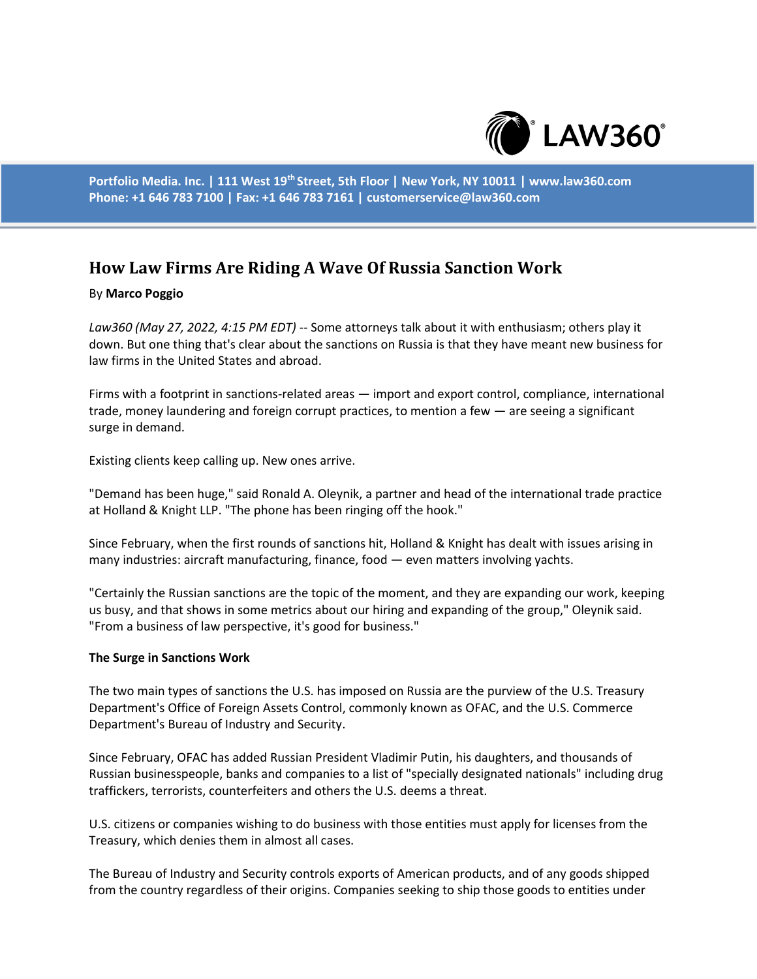

**Portfolio Media. Inc. | 111 West 19th Street, 5th Floor | New York, NY 10011 | www.law360.com Phone: +1 646 783 7100 | Fax: +1 646 783 7161 | customerservice@law360.com**

# **How Law Firms Are Riding A Wave Of Russia Sanction Work**

### By **Marco Poggio**

*Law360 (May 27, 2022, 4:15 PM EDT)* -- Some attorneys talk about it with enthusiasm; others play it down. But one thing that's clear about the sanctions on Russia is that they have meant new business for law firms in the United States and abroad.

Firms with a footprint in sanctions-related areas — import and export control, compliance, international trade, money laundering and foreign corrupt practices, to mention a few — are seeing a significant surge in demand.

Existing clients keep calling up. New ones arrive.

"Demand has been huge," said Ronald A. Oleynik, a partner and head of the international trade practice at Holland & Knight LLP. "The phone has been ringing off the hook."

Since February, when the first rounds of sanctions hit, Holland & Knight has dealt with issues arising in many industries: aircraft manufacturing, finance, food — even matters involving yachts.

"Certainly the Russian sanctions are the topic of the moment, and they are expanding our work, keeping us busy, and that shows in some metrics about our hiring and expanding of the group," Oleynik said. "From a business of law perspective, it's good for business."

#### **The Surge in Sanctions Work**

The two main types of sanctions the U.S. has imposed on Russia are the purview of the U.S. Treasury Department's Office of Foreign Assets Control, commonly known as OFAC, and the U.S. Commerce Department's Bureau of Industry and Security.

Since February, OFAC has added Russian President Vladimir Putin, his daughters, and thousands of Russian businesspeople, banks and companies to a list of "specially designated nationals" including drug traffickers, terrorists, counterfeiters and others the U.S. deems a threat.

U.S. citizens or companies wishing to do business with those entities must apply for licenses from the Treasury, which denies them in almost all cases.

The Bureau of Industry and Security controls exports of American products, and of any goods shipped from the country regardless of their origins. Companies seeking to ship those goods to entities under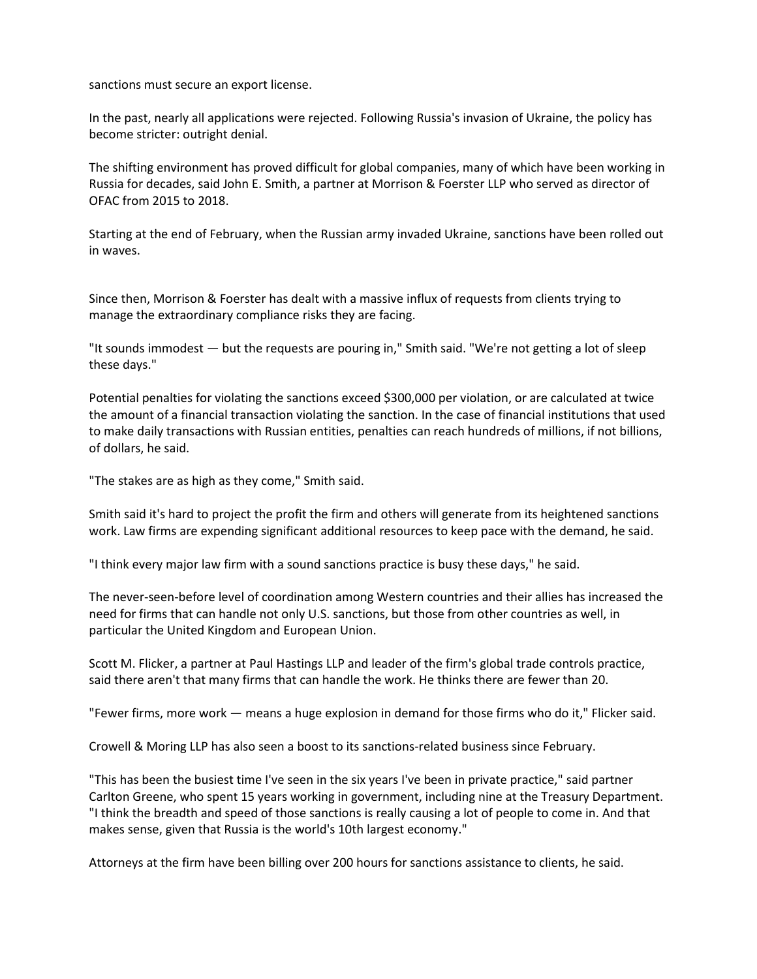sanctions must secure an export license.

In the past, nearly all applications were rejected. Following Russia's invasion of Ukraine, the policy has become stricter: outright denial.

The shifting environment has proved difficult for global companies, many of which have been working in Russia for decades, said John E. Smith, a partner at Morrison & Foerster LLP who served as director of OFAC from 2015 to 2018.

Starting at the end of February, when the Russian army invaded Ukraine, sanctions have been rolled out in waves.

Since then, Morrison & Foerster has dealt with a massive influx of requests from clients trying to manage the extraordinary compliance risks they are facing.

"It sounds immodest — but the requests are pouring in," Smith said. "We're not getting a lot of sleep these days."

Potential penalties for violating the sanctions exceed \$300,000 per violation, or are calculated at twice the amount of a financial transaction violating the sanction. In the case of financial institutions that used to make daily transactions with Russian entities, penalties can reach hundreds of millions, if not billions, of dollars, he said.

"The stakes are as high as they come," Smith said.

Smith said it's hard to project the profit the firm and others will generate from its heightened sanctions work. Law firms are expending significant additional resources to keep pace with the demand, he said.

"I think every major law firm with a sound sanctions practice is busy these days," he said.

The never-seen-before level of coordination among Western countries and their allies has increased the need for firms that can handle not only U.S. sanctions, but those from other countries as well, in particular the United Kingdom and European Union.

Scott M. Flicker, a partner at Paul Hastings LLP and leader of the firm's global trade controls practice, said there aren't that many firms that can handle the work. He thinks there are fewer than 20.

"Fewer firms, more work — means a huge explosion in demand for those firms who do it," Flicker said.

Crowell & Moring LLP has also seen a boost to its sanctions-related business since February.

"This has been the busiest time I've seen in the six years I've been in private practice," said partner Carlton Greene, who spent 15 years working in government, including nine at the Treasury Department. "I think the breadth and speed of those sanctions is really causing a lot of people to come in. And that makes sense, given that Russia is the world's 10th largest economy."

Attorneys at the firm have been billing over 200 hours for sanctions assistance to clients, he said.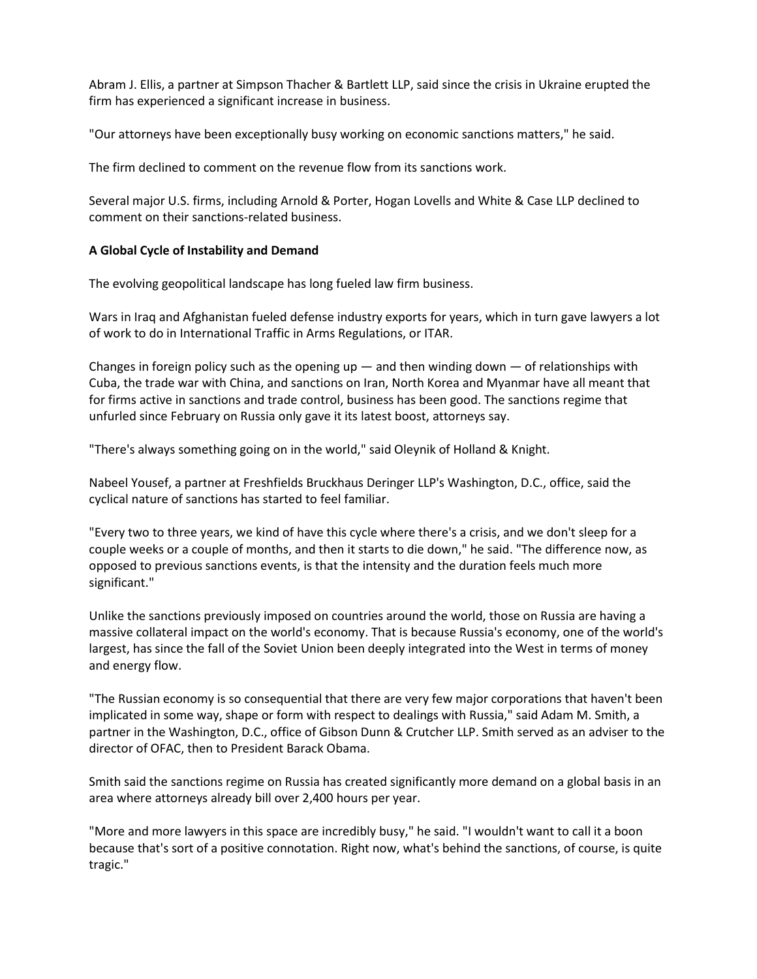Abram J. Ellis, a partner at Simpson Thacher & Bartlett LLP, said since the crisis in Ukraine erupted the firm has experienced a significant increase in business.

"Our attorneys have been exceptionally busy working on economic sanctions matters," he said.

The firm declined to comment on the revenue flow from its sanctions work.

Several major U.S. firms, including Arnold & Porter, Hogan Lovells and White & Case LLP declined to comment on their sanctions-related business.

# **A Global Cycle of Instability and Demand**

The evolving geopolitical landscape has long fueled law firm business.

Wars in Iraq and Afghanistan fueled defense industry exports for years, which in turn gave lawyers a lot of work to do in International Traffic in Arms Regulations, or ITAR.

Changes in foreign policy such as the opening up  $-$  and then winding down  $-$  of relationships with Cuba, the trade war with China, and sanctions on Iran, North Korea and Myanmar have all meant that for firms active in sanctions and trade control, business has been good. The sanctions regime that unfurled since February on Russia only gave it its latest boost, attorneys say.

"There's always something going on in the world," said Oleynik of Holland & Knight.

Nabeel Yousef, a partner at Freshfields Bruckhaus Deringer LLP's Washington, D.C., office, said the cyclical nature of sanctions has started to feel familiar.

"Every two to three years, we kind of have this cycle where there's a crisis, and we don't sleep for a couple weeks or a couple of months, and then it starts to die down," he said. "The difference now, as opposed to previous sanctions events, is that the intensity and the duration feels much more significant."

Unlike the sanctions previously imposed on countries around the world, those on Russia are having a massive collateral impact on the world's economy. That is because Russia's economy, one of the world's largest, has since the fall of the Soviet Union been deeply integrated into the West in terms of money and energy flow.

"The Russian economy is so consequential that there are very few major corporations that haven't been implicated in some way, shape or form with respect to dealings with Russia," said Adam M. Smith, a partner in the Washington, D.C., office of Gibson Dunn & Crutcher LLP. Smith served as an adviser to the director of OFAC, then to President Barack Obama.

Smith said the sanctions regime on Russia has created significantly more demand on a global basis in an area where attorneys already bill over 2,400 hours per year.

"More and more lawyers in this space are incredibly busy," he said. "I wouldn't want to call it a boon because that's sort of a positive connotation. Right now, what's behind the sanctions, of course, is quite tragic."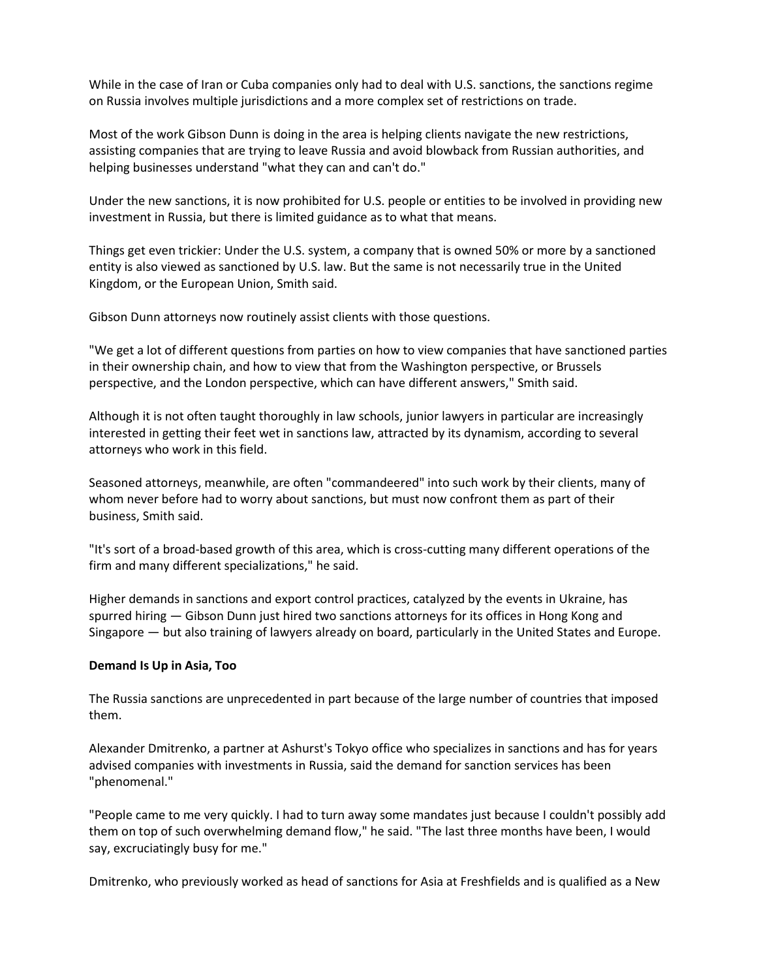While in the case of Iran or Cuba companies only had to deal with U.S. sanctions, the sanctions regime on Russia involves multiple jurisdictions and a more complex set of restrictions on trade.

Most of the work Gibson Dunn is doing in the area is helping clients navigate the new restrictions, assisting companies that are trying to leave Russia and avoid blowback from Russian authorities, and helping businesses understand "what they can and can't do."

Under the new sanctions, it is now prohibited for U.S. people or entities to be involved in providing new investment in Russia, but there is limited guidance as to what that means.

Things get even trickier: Under the U.S. system, a company that is owned 50% or more by a sanctioned entity is also viewed as sanctioned by U.S. law. But the same is not necessarily true in the United Kingdom, or the European Union, Smith said.

Gibson Dunn attorneys now routinely assist clients with those questions.

"We get a lot of different questions from parties on how to view companies that have sanctioned parties in their ownership chain, and how to view that from the Washington perspective, or Brussels perspective, and the London perspective, which can have different answers," Smith said.

Although it is not often taught thoroughly in law schools, junior lawyers in particular are increasingly interested in getting their feet wet in sanctions law, attracted by its dynamism, according to several attorneys who work in this field.

Seasoned attorneys, meanwhile, are often "commandeered" into such work by their clients, many of whom never before had to worry about sanctions, but must now confront them as part of their business, Smith said.

"It's sort of a broad-based growth of this area, which is cross-cutting many different operations of the firm and many different specializations," he said.

Higher demands in sanctions and export control practices, catalyzed by the events in Ukraine, has spurred hiring — Gibson Dunn just hired two sanctions attorneys for its offices in Hong Kong and Singapore — but also training of lawyers already on board, particularly in the United States and Europe.

## **Demand Is Up in Asia, Too**

The Russia sanctions are unprecedented in part because of the large number of countries that imposed them.

Alexander Dmitrenko, a partner at Ashurst's Tokyo office who specializes in sanctions and has for years advised companies with investments in Russia, said the demand for sanction services has been "phenomenal."

"People came to me very quickly. I had to turn away some mandates just because I couldn't possibly add them on top of such overwhelming demand flow," he said. "The last three months have been, I would say, excruciatingly busy for me."

Dmitrenko, who previously worked as head of sanctions for Asia at Freshfields and is qualified as a New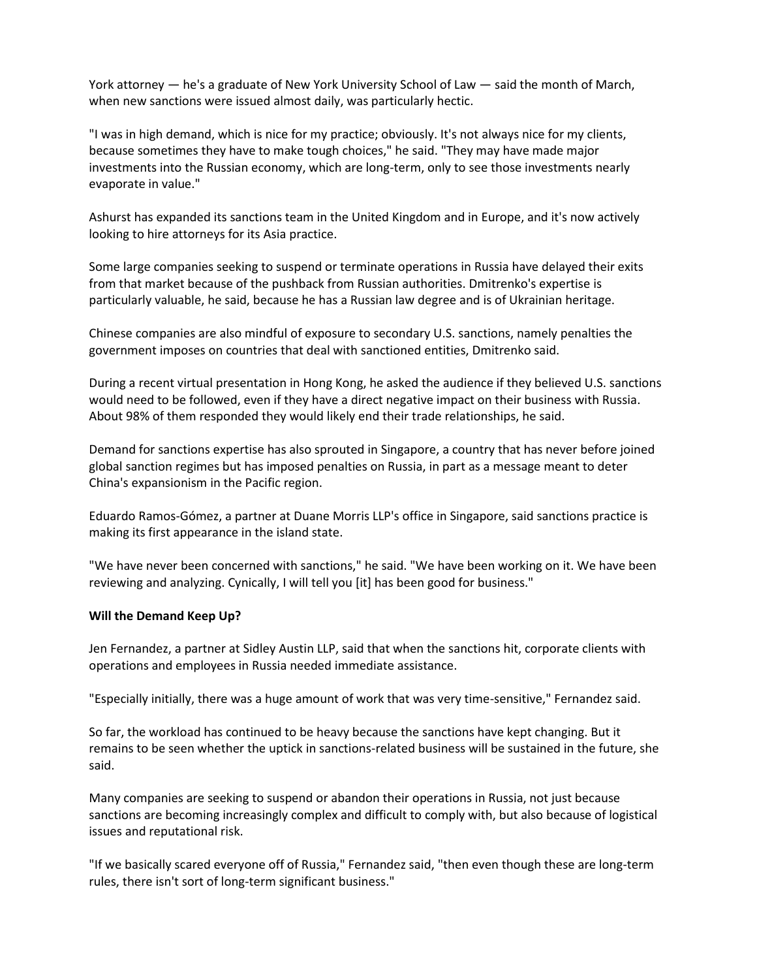York attorney — he's a graduate of New York University School of Law — said the month of March, when new sanctions were issued almost daily, was particularly hectic.

"I was in high demand, which is nice for my practice; obviously. It's not always nice for my clients, because sometimes they have to make tough choices," he said. "They may have made major investments into the Russian economy, which are long-term, only to see those investments nearly evaporate in value."

Ashurst has expanded its sanctions team in the United Kingdom and in Europe, and it's now actively looking to hire attorneys for its Asia practice.

Some large companies seeking to suspend or terminate operations in Russia have delayed their exits from that market because of the pushback from Russian authorities. Dmitrenko's expertise is particularly valuable, he said, because he has a Russian law degree and is of Ukrainian heritage.

Chinese companies are also mindful of exposure to secondary U.S. sanctions, namely penalties the government imposes on countries that deal with sanctioned entities, Dmitrenko said.

During a recent virtual presentation in Hong Kong, he asked the audience if they believed U.S. sanctions would need to be followed, even if they have a direct negative impact on their business with Russia. About 98% of them responded they would likely end their trade relationships, he said.

Demand for sanctions expertise has also sprouted in Singapore, a country that has never before joined global sanction regimes but has imposed penalties on Russia, in part as a message meant to deter China's expansionism in the Pacific region.

Eduardo Ramos-Gómez, a partner at Duane Morris LLP's office in Singapore, said sanctions practice is making its first appearance in the island state.

"We have never been concerned with sanctions," he said. "We have been working on it. We have been reviewing and analyzing. Cynically, I will tell you [it] has been good for business."

## **Will the Demand Keep Up?**

Jen Fernandez, a partner at Sidley Austin LLP, said that when the sanctions hit, corporate clients with operations and employees in Russia needed immediate assistance.

"Especially initially, there was a huge amount of work that was very time-sensitive," Fernandez said.

So far, the workload has continued to be heavy because the sanctions have kept changing. But it remains to be seen whether the uptick in sanctions-related business will be sustained in the future, she said.

Many companies are seeking to suspend or abandon their operations in Russia, not just because sanctions are becoming increasingly complex and difficult to comply with, but also because of logistical issues and reputational risk.

"If we basically scared everyone off of Russia," Fernandez said, "then even though these are long-term rules, there isn't sort of long-term significant business."